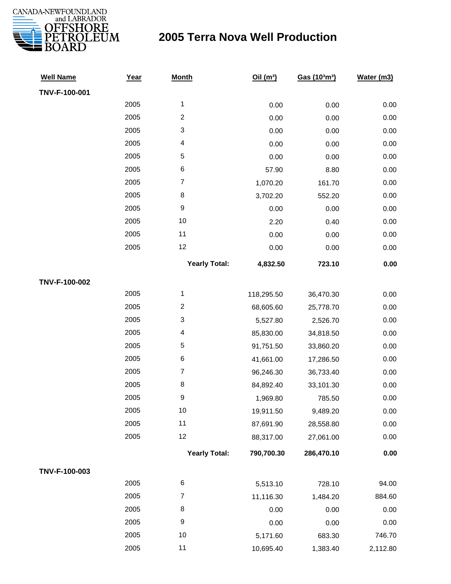

| <b>Well Name</b> | Year | <b>Month</b>         | Oil $(m^3)$ | Gas (103m3) | Water (m3) |
|------------------|------|----------------------|-------------|-------------|------------|
| TNV-F-100-001    |      |                      |             |             |            |
|                  | 2005 | $\mathbf{1}$         | 0.00        | 0.00        | 0.00       |
|                  | 2005 | $\overline{c}$       | 0.00        | 0.00        | 0.00       |
|                  | 2005 | 3                    | 0.00        | 0.00        | 0.00       |
|                  | 2005 | 4                    | 0.00        | 0.00        | 0.00       |
|                  | 2005 | $\mathbf 5$          | 0.00        | 0.00        | 0.00       |
|                  | 2005 | 6                    | 57.90       | 8.80        | 0.00       |
|                  | 2005 | $\overline{7}$       | 1,070.20    | 161.70      | 0.00       |
|                  | 2005 | $\bf 8$              | 3,702.20    | 552.20      | 0.00       |
|                  | 2005 | 9                    | 0.00        | 0.00        | 0.00       |
|                  | 2005 | $10$                 | 2.20        | 0.40        | 0.00       |
|                  | 2005 | 11                   | 0.00        | 0.00        | 0.00       |
|                  | 2005 | 12                   | 0.00        | 0.00        | 0.00       |
|                  |      | <b>Yearly Total:</b> | 4,832.50    | 723.10      | 0.00       |
| TNV-F-100-002    |      |                      |             |             |            |
|                  | 2005 | $\mathbf{1}$         | 118,295.50  | 36,470.30   | 0.00       |
|                  | 2005 | $\overline{c}$       | 68,605.60   | 25,778.70   | 0.00       |
|                  | 2005 | 3                    | 5,527.80    | 2,526.70    | 0.00       |
|                  | 2005 | 4                    | 85,830.00   | 34,818.50   | 0.00       |
|                  | 2005 | $\mathbf 5$          | 91,751.50   | 33,860.20   | 0.00       |
|                  | 2005 | 6                    | 41,661.00   | 17,286.50   | 0.00       |
|                  | 2005 | $\boldsymbol{7}$     | 96,246.30   | 36,733.40   | 0.00       |
|                  | 2005 | 8                    | 84,892.40   | 33,101.30   | 0.00       |
|                  | 2005 | 9                    | 1,969.80    | 785.50      | 0.00       |
|                  | 2005 | $10$                 | 19,911.50   | 9,489.20    | 0.00       |
|                  | 2005 | 11                   | 87,691.90   | 28,558.80   | 0.00       |
|                  | 2005 | 12                   | 88,317.00   | 27,061.00   | 0.00       |
|                  |      | <b>Yearly Total:</b> | 790,700.30  | 286,470.10  | 0.00       |
| TNV-F-100-003    |      |                      |             |             |            |
|                  | 2005 | 6                    | 5,513.10    | 728.10      | 94.00      |
|                  | 2005 | $\boldsymbol{7}$     | 11,116.30   | 1,484.20    | 884.60     |
|                  | 2005 | 8                    | 0.00        | 0.00        | 0.00       |
|                  | 2005 | $\boldsymbol{9}$     | 0.00        | 0.00        | 0.00       |
|                  | 2005 | 10                   | 5,171.60    | 683.30      | 746.70     |
|                  | 2005 | 11                   | 10,695.40   | 1,383.40    | 2,112.80   |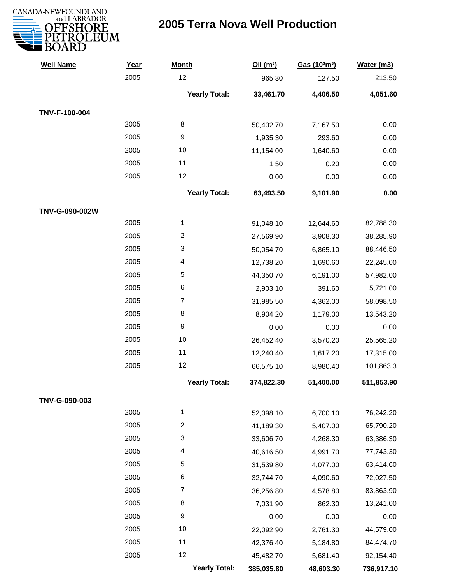

| <b>Well Name</b> | Year | <b>Month</b>         | Oil(m <sup>3</sup> ) | Gas (103m3) | Water (m3) |
|------------------|------|----------------------|----------------------|-------------|------------|
|                  | 2005 | 12                   | 965.30               | 127.50      | 213.50     |
|                  |      | <b>Yearly Total:</b> | 33,461.70            | 4,406.50    | 4,051.60   |
| TNV-F-100-004    |      |                      |                      |             |            |
|                  | 2005 | $\,8\,$              | 50,402.70            | 7,167.50    | 0.00       |
|                  | 2005 | 9                    | 1,935.30             | 293.60      | 0.00       |
|                  | 2005 | 10                   | 11,154.00            | 1,640.60    | 0.00       |
|                  | 2005 | 11                   | 1.50                 | 0.20        | 0.00       |
|                  | 2005 | 12                   | 0.00                 | 0.00        | 0.00       |
|                  |      | <b>Yearly Total:</b> | 63,493.50            | 9,101.90    | 0.00       |
| TNV-G-090-002W   |      |                      |                      |             |            |
|                  | 2005 | $\mathbf{1}$         | 91,048.10            | 12,644.60   | 82,788.30  |
|                  | 2005 | $\overline{c}$       | 27,569.90            | 3,908.30    | 38,285.90  |
|                  | 2005 | 3                    | 50,054.70            | 6,865.10    | 88,446.50  |
|                  | 2005 | 4                    | 12,738.20            | 1,690.60    | 22,245.00  |
|                  | 2005 | 5                    | 44,350.70            | 6,191.00    | 57,982.00  |
|                  | 2005 | 6                    | 2,903.10             | 391.60      | 5,721.00   |
|                  | 2005 | $\boldsymbol{7}$     | 31,985.50            | 4,362.00    | 58,098.50  |
|                  | 2005 | 8                    | 8,904.20             | 1,179.00    | 13,543.20  |
|                  | 2005 | $\boldsymbol{9}$     | 0.00                 | 0.00        | 0.00       |
|                  | 2005 | 10                   | 26,452.40            | 3,570.20    | 25,565.20  |
|                  | 2005 | 11                   | 12,240.40            | 1,617.20    | 17,315.00  |
|                  | 2005 | 12                   | 66,575.10            | 8,980.40    | 101,863.3  |
|                  |      | <b>Yearly Total:</b> | 374,822.30           | 51,400.00   | 511,853.90 |
| TNV-G-090-003    |      |                      |                      |             |            |
|                  | 2005 | $\mathbf{1}$         | 52,098.10            | 6,700.10    | 76,242.20  |
|                  | 2005 | $\overline{c}$       | 41,189.30            | 5,407.00    | 65,790.20  |
|                  | 2005 | 3                    | 33,606.70            | 4,268.30    | 63,386.30  |
|                  | 2005 | 4                    | 40,616.50            | 4,991.70    | 77,743.30  |
|                  | 2005 | 5                    | 31,539.80            | 4,077.00    | 63,414.60  |
|                  | 2005 | 6                    | 32,744.70            | 4,090.60    | 72,027.50  |
|                  | 2005 | $\overline{7}$       | 36,256.80            | 4,578.80    | 83,863.90  |
|                  | 2005 | 8                    | 7,031.90             | 862.30      | 13,241.00  |
|                  | 2005 | 9                    | 0.00                 | 0.00        | 0.00       |
|                  | 2005 | 10                   | 22,092.90            | 2,761.30    | 44,579.00  |
|                  | 2005 | 11                   | 42,376.40            | 5,184.80    | 84,474.70  |
|                  | 2005 | 12                   | 45,482.70            | 5,681.40    | 92,154.40  |
|                  |      | <b>Yearly Total:</b> | 385,035.80           | 48,603.30   | 736,917.10 |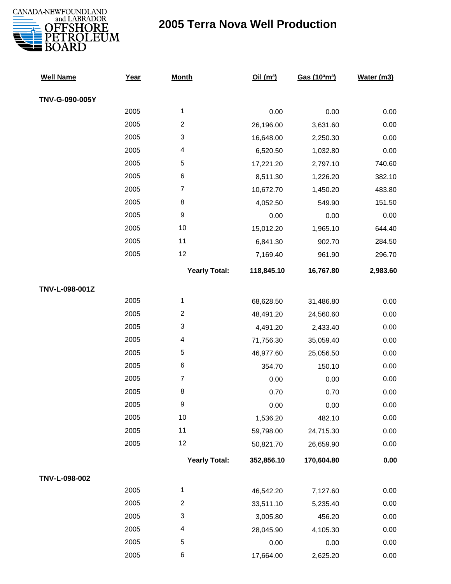

| <b>Well Name</b> | Year | <b>Month</b>              | Oil(m <sup>3</sup> ) | Gas (103m3) | Water (m3) |
|------------------|------|---------------------------|----------------------|-------------|------------|
| TNV-G-090-005Y   |      |                           |                      |             |            |
|                  | 2005 | 1                         | 0.00                 | 0.00        | 0.00       |
|                  | 2005 | $\overline{2}$            | 26,196.00            | 3,631.60    | 0.00       |
|                  | 2005 | 3                         | 16,648.00            | 2,250.30    | 0.00       |
|                  | 2005 | 4                         | 6,520.50             | 1,032.80    | 0.00       |
|                  | 2005 | 5                         | 17,221.20            | 2,797.10    | 740.60     |
|                  | 2005 | $\,6$                     | 8,511.30             | 1,226.20    | 382.10     |
|                  | 2005 | $\boldsymbol{7}$          | 10,672.70            | 1,450.20    | 483.80     |
|                  | 2005 | $\bf8$                    | 4,052.50             | 549.90      | 151.50     |
|                  | 2005 | $\boldsymbol{9}$          | 0.00                 | 0.00        | 0.00       |
|                  | 2005 | 10                        | 15,012.20            | 1,965.10    | 644.40     |
|                  | 2005 | 11                        | 6,841.30             | 902.70      | 284.50     |
|                  | 2005 | 12                        | 7,169.40             | 961.90      | 296.70     |
|                  |      | <b>Yearly Total:</b>      | 118,845.10           | 16,767.80   | 2,983.60   |
| TNV-L-098-001Z   |      |                           |                      |             |            |
|                  | 2005 | $\mathbf{1}$              | 68,628.50            | 31,486.80   | 0.00       |
|                  | 2005 | $\overline{c}$            | 48,491.20            | 24,560.60   | 0.00       |
|                  | 2005 | $\ensuremath{\mathsf{3}}$ | 4,491.20             | 2,433.40    | 0.00       |
|                  | 2005 | 4                         | 71,756.30            | 35,059.40   | 0.00       |
|                  | 2005 | 5                         | 46,977.60            | 25,056.50   | 0.00       |
|                  | 2005 | $\,6$                     | 354.70               | 150.10      | 0.00       |
|                  | 2005 | $\boldsymbol{7}$          | 0.00                 | 0.00        | 0.00       |
|                  | 2005 | 8                         | 0.70                 | 0.70        | 0.00       |
|                  | 2005 | 9                         | 0.00                 | 0.00        | 0.00       |
|                  | 2005 | 10                        | 1,536.20             | 482.10      | 0.00       |
|                  | 2005 | 11                        | 59,798.00            | 24,715.30   | 0.00       |
|                  | 2005 | 12                        | 50,821.70            | 26,659.90   | 0.00       |
|                  |      | <b>Yearly Total:</b>      | 352,856.10           | 170,604.80  | $0.00\,$   |
| TNV-L-098-002    |      |                           |                      |             |            |
|                  | 2005 | 1                         | 46,542.20            | 7,127.60    | 0.00       |
|                  | 2005 | $\boldsymbol{2}$          | 33,511.10            | 5,235.40    | 0.00       |
|                  | 2005 | $\ensuremath{\mathsf{3}}$ | 3,005.80             | 456.20      | 0.00       |
|                  | 2005 | 4                         | 28,045.90            | 4,105.30    | 0.00       |
|                  | 2005 | 5                         | 0.00                 | 0.00        | 0.00       |
|                  | 2005 | 6                         | 17,664.00            | 2,625.20    | 0.00       |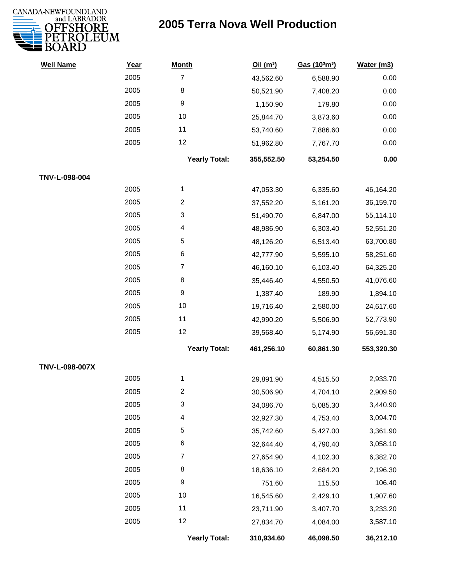

| <b>Well Name</b> | Year | <b>Month</b>            | Oil $(m^3)$ | Gas (103m3) | Water (m3) |
|------------------|------|-------------------------|-------------|-------------|------------|
|                  | 2005 | $\overline{7}$          | 43,562.60   | 6,588.90    | 0.00       |
|                  | 2005 | 8                       | 50,521.90   | 7,408.20    | 0.00       |
|                  | 2005 | 9                       | 1,150.90    | 179.80      | 0.00       |
|                  | 2005 | 10                      | 25,844.70   | 3,873.60    | $0.00\,$   |
|                  | 2005 | 11                      | 53,740.60   | 7,886.60    | 0.00       |
|                  | 2005 | 12                      | 51,962.80   | 7,767.70    | 0.00       |
|                  |      | <b>Yearly Total:</b>    | 355,552.50  | 53,254.50   | 0.00       |
| TNV-L-098-004    |      |                         |             |             |            |
|                  | 2005 | 1                       | 47,053.30   | 6,335.60    | 46,164.20  |
|                  | 2005 | $\overline{\mathbf{c}}$ | 37,552.20   | 5,161.20    | 36,159.70  |
|                  | 2005 | 3                       | 51,490.70   | 6,847.00    | 55,114.10  |
|                  | 2005 | 4                       | 48,986.90   | 6,303.40    | 52,551.20  |
|                  | 2005 | 5                       | 48,126.20   | 6,513.40    | 63,700.80  |
|                  | 2005 | 6                       | 42,777.90   | 5,595.10    | 58,251.60  |
|                  | 2005 | $\overline{7}$          | 46,160.10   | 6,103.40    | 64,325.20  |
|                  | 2005 | 8                       | 35,446.40   | 4,550.50    | 41,076.60  |
|                  | 2005 | 9                       | 1,387.40    | 189.90      | 1,894.10   |
|                  | 2005 | 10                      | 19,716.40   | 2,580.00    | 24,617.60  |
|                  | 2005 | 11                      | 42,990.20   | 5,506.90    | 52,773.90  |
|                  | 2005 | 12                      | 39,568.40   | 5,174.90    | 56,691.30  |
|                  |      | <b>Yearly Total:</b>    | 461,256.10  | 60,861.30   | 553,320.30 |
| TNV-L-098-007X   |      |                         |             |             |            |
|                  | 2005 | 1                       | 29,891.90   | 4,515.50    | 2,933.70   |
|                  | 2005 | 2                       | 30,506.90   | 4,704.10    | 2,909.50   |
|                  | 2005 | 3                       | 34,086.70   | 5,085.30    | 3,440.90   |
|                  | 2005 | 4                       | 32,927.30   | 4,753.40    | 3,094.70   |
|                  | 2005 | 5                       | 35,742.60   | 5,427.00    | 3,361.90   |
|                  | 2005 | 6                       | 32,644.40   | 4,790.40    | 3,058.10   |
|                  | 2005 | 7                       | 27,654.90   | 4,102.30    | 6,382.70   |
|                  | 2005 | 8                       | 18,636.10   | 2,684.20    | 2,196.30   |
|                  | 2005 | $\boldsymbol{9}$        | 751.60      | 115.50      | 106.40     |
|                  | 2005 | 10                      | 16,545.60   | 2,429.10    | 1,907.60   |
|                  | 2005 | 11                      | 23,711.90   | 3,407.70    | 3,233.20   |
|                  | 2005 | 12                      | 27,834.70   | 4,084.00    | 3,587.10   |
|                  |      | <b>Yearly Total:</b>    | 310,934.60  | 46,098.50   | 36,212.10  |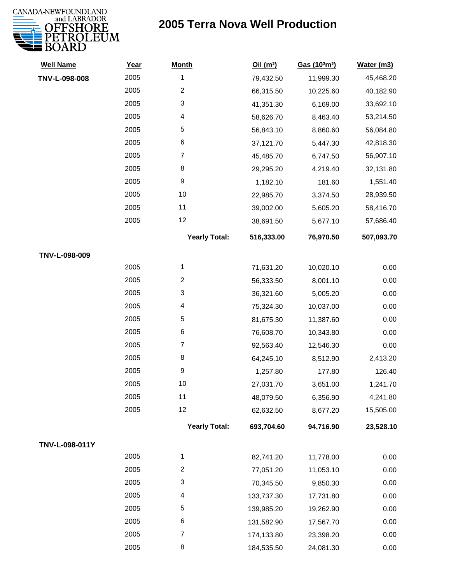

| <b>Well Name</b> | Year | <b>Month</b>         | Oil $(m^3)$ | Gas (103m3) | Water (m3) |
|------------------|------|----------------------|-------------|-------------|------------|
| TNV-L-098-008    | 2005 | 1                    | 79,432.50   | 11,999.30   | 45,468.20  |
|                  | 2005 | $\overline{c}$       | 66,315.50   | 10,225.60   | 40,182.90  |
|                  | 2005 | 3                    | 41,351.30   | 6,169.00    | 33,692.10  |
|                  | 2005 | 4                    | 58,626.70   | 8,463.40    | 53,214.50  |
|                  | 2005 | 5                    | 56,843.10   | 8,860.60    | 56,084.80  |
|                  | 2005 | 6                    | 37,121.70   | 5,447.30    | 42,818.30  |
|                  | 2005 | 7                    | 45,485.70   | 6,747.50    | 56,907.10  |
|                  | 2005 | 8                    | 29,295.20   | 4,219.40    | 32,131.80  |
|                  | 2005 | 9                    | 1,182.10    | 181.60      | 1,551.40   |
|                  | 2005 | 10                   | 22,985.70   | 3,374.50    | 28,939.50  |
|                  | 2005 | 11                   | 39,002.00   | 5,605.20    | 58,416.70  |
|                  | 2005 | 12                   | 38,691.50   | 5,677.10    | 57,686.40  |
|                  |      | <b>Yearly Total:</b> | 516,333.00  | 76,970.50   | 507,093.70 |
| TNV-L-098-009    |      |                      |             |             |            |
|                  | 2005 | 1                    | 71,631.20   | 10,020.10   | 0.00       |
|                  | 2005 | $\overline{2}$       | 56,333.50   | 8,001.10    | 0.00       |
|                  | 2005 | 3                    | 36,321.60   | 5,005.20    | 0.00       |
|                  | 2005 | 4                    | 75,324.30   | 10,037.00   | 0.00       |
|                  | 2005 | 5                    | 81,675.30   | 11,387.60   | 0.00       |
|                  | 2005 | 6                    | 76,608.70   | 10,343.80   | 0.00       |
|                  | 2005 | $\overline{7}$       | 92,563.40   | 12,546.30   | 0.00       |
|                  | 2005 | 8                    | 64,245.10   | 8,512.90    | 2,413.20   |
|                  | 2005 | 9                    | 1,257.80    | 177.80      | 126.40     |
|                  | 2005 | 10                   | 27,031.70   | 3,651.00    | 1,241.70   |
|                  | 2005 | 11                   | 48,079.50   | 6,356.90    | 4,241.80   |
|                  | 2005 | 12                   | 62,632.50   | 8,677.20    | 15,505.00  |
|                  |      | <b>Yearly Total:</b> | 693,704.60  | 94,716.90   | 23,528.10  |
| TNV-L-098-011Y   |      |                      |             |             |            |
|                  | 2005 | 1                    | 82,741.20   | 11,778.00   | 0.00       |
|                  | 2005 | $\overline{c}$       | 77,051.20   | 11,053.10   | 0.00       |
|                  | 2005 | 3                    | 70,345.50   | 9,850.30    | 0.00       |
|                  | 2005 | 4                    | 133,737.30  | 17,731.80   | 0.00       |
|                  | 2005 | 5                    | 139,985.20  | 19,262.90   | 0.00       |
|                  | 2005 | 6                    | 131,582.90  | 17,567.70   | 0.00       |
|                  | 2005 | $\overline{7}$       | 174,133.80  | 23,398.20   | 0.00       |
|                  | 2005 | 8                    | 184,535.50  | 24,081.30   | 0.00       |
|                  |      |                      |             |             |            |